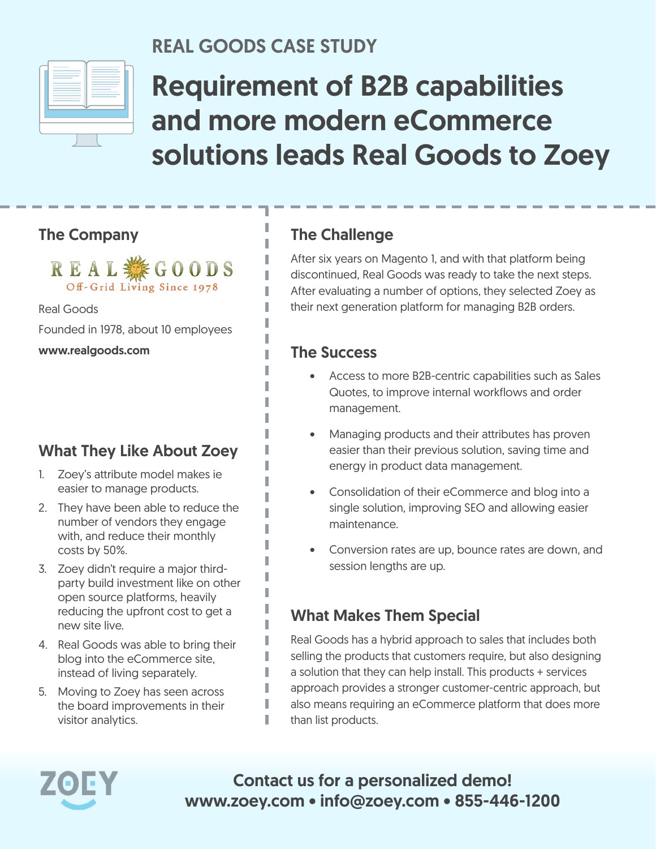

### REAL GOODS CASE STUDY

I

I T.

# Requirement of B2B capabilities and more modern eCommerce solutions leads Real Goods to Zoey

#### The Company

**REAL ※ GOODS** Off-Grid Living Since 1978

Real Goods

Founded in 1978, about 10 employees

www.realgoods.com

### What They Like About Zoey

- 1. Zoey's attribute model makes ie easier to manage products.
- 2. They have been able to reduce the number of vendors they engage with, and reduce their monthly costs by 50%.
- 3. Zoey didn't require a major thirdparty build investment like on other open source platforms, heavily reducing the upfront cost to get a new site live.
- 4. Real Goods was able to bring their blog into the eCommerce site, instead of living separately.
- 5. Moving to Zoey has seen across the board improvements in their visitor analytics.

#### The Challenge

After six years on Magento 1, and with that platform being discontinued, Real Goods was ready to take the next steps. After evaluating a number of options, they selected Zoey as their next generation platform for managing B2B orders.

#### The Success

- Access to more B2B-centric capabilities such as Sales Quotes, to improve internal workflows and order management.
- Managing products and their attributes has proven easier than their previous solution, saving time and energy in product data management.
- Consolidation of their eCommerce and blog into a single solution, improving SEO and allowing easier maintenance.
- Conversion rates are up, bounce rates are down, and session lengths are up.

#### What Makes Them Special

Real Goods has a hybrid approach to sales that includes both selling the products that customers require, but also designing a solution that they can help install. This products + services approach provides a stronger customer-centric approach, but also means requiring an eCommerce platform that does more than list products.



Contact us for a personalized demo! www.zoey.com • info@zoey.com • 855-446-1200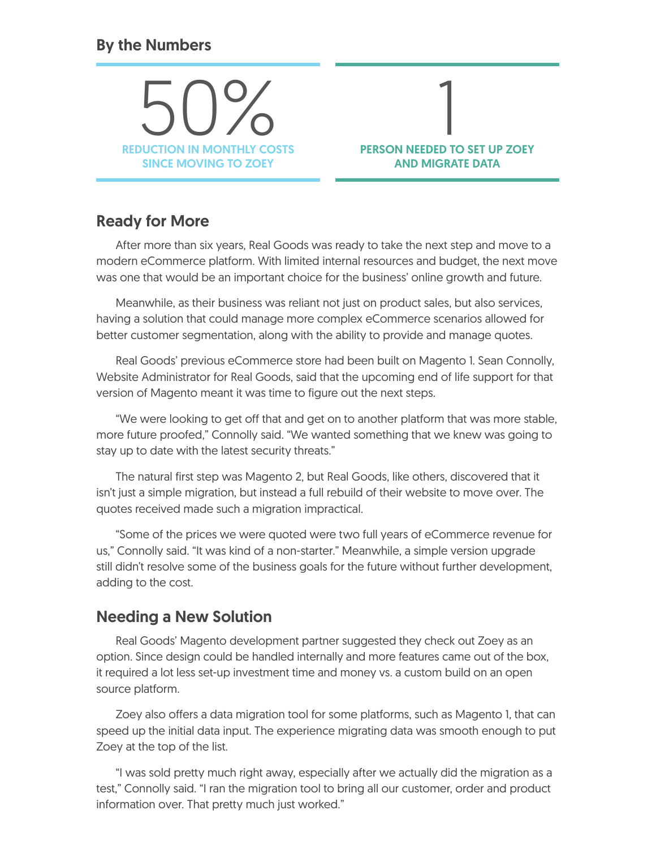#### By the Numbers

REDUCTION IN MONTHLY COSTS 50% SINCE MOVING TO ZOEY

## 1<br>---PERSON NEEDED TO SET UP ZOEY AND MIGRATE DATA

#### Ready for More

After more than six years, Real Goods was ready to take the next step and move to a modern eCommerce platform. With limited internal resources and budget, the next move was one that would be an important choice for the business' online growth and future.

Meanwhile, as their business was reliant not just on product sales, but also services, having a solution that could manage more complex eCommerce scenarios allowed for better customer segmentation, along with the ability to provide and manage quotes.

Real Goods' previous eCommerce store had been built on Magento 1. Sean Connolly, Website Administrator for Real Goods, said that the upcoming end of life support for that version of Magento meant it was time to figure out the next steps.

"We were looking to get off that and get on to another platform that was more stable, more future proofed," Connolly said. "We wanted something that we knew was going to stay up to date with the latest security threats."

The natural first step was Magento 2, but Real Goods, like others, discovered that it isn't just a simple migration, but instead a full rebuild of their website to move over. The quotes received made such a migration impractical.

"Some of the prices we were quoted were two full years of eCommerce revenue for us," Connolly said. "It was kind of a non-starter." Meanwhile, a simple version upgrade still didn't resolve some of the business goals for the future without further development, adding to the cost.

#### Needing a New Solution

Real Goods' Magento development partner suggested they check out Zoey as an option. Since design could be handled internally and more features came out of the box, it required a lot less set-up investment time and money vs. a custom build on an open source platform.

Zoey also offers a data migration tool for some platforms, such as Magento 1, that can speed up the initial data input. The experience migrating data was smooth enough to put Zoey at the top of the list.

"I was sold pretty much right away, especially after we actually did the migration as a test," Connolly said. "I ran the migration tool to bring all our customer, order and product information over. That pretty much just worked."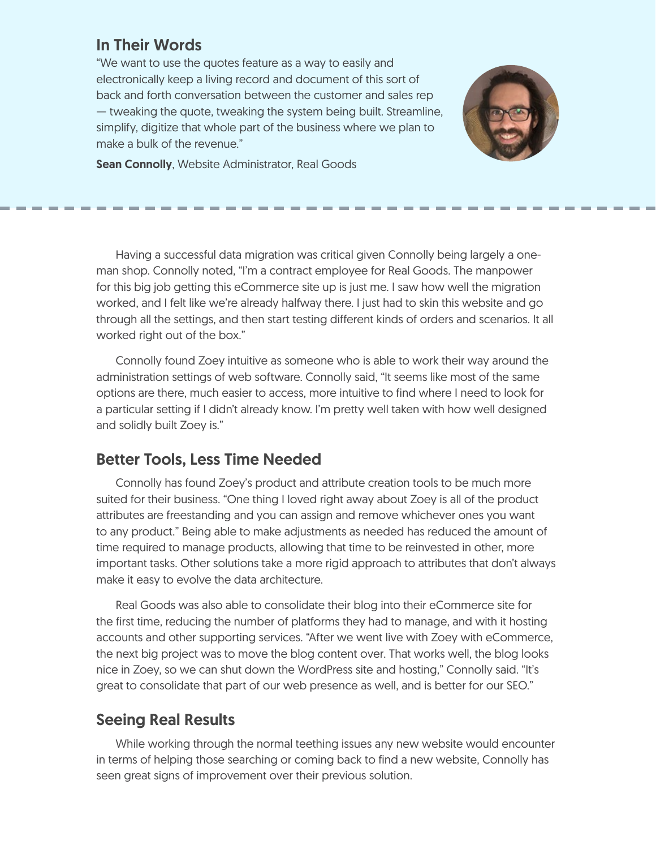#### In Their Words

"We want to use the quotes feature as a way to easily and electronically keep a living record and document of this sort of back and forth conversation between the customer and sales rep — tweaking the quote, tweaking the system being built. Streamline, simplify, digitize that whole part of the business where we plan to make a bulk of the revenue."



Sean Connolly, Website Administrator, Real Goods

Having a successful data migration was critical given Connolly being largely a oneman shop. Connolly noted, "I'm a contract employee for Real Goods. The manpower for this big job getting this eCommerce site up is just me. I saw how well the migration worked, and I felt like we're already halfway there. I just had to skin this website and go through all the settings, and then start testing different kinds of orders and scenarios. It all worked right out of the box."

Connolly found Zoey intuitive as someone who is able to work their way around the administration settings of web software. Connolly said, "It seems like most of the same options are there, much easier to access, more intuitive to find where I need to look for a particular setting if I didn't already know. I'm pretty well taken with how well designed and solidly built Zoey is."

#### Better Tools, Less Time Needed

Connolly has found Zoey's product and attribute creation tools to be much more suited for their business. "One thing I loved right away about Zoey is all of the product attributes are freestanding and you can assign and remove whichever ones you want to any product." Being able to make adjustments as needed has reduced the amount of time required to manage products, allowing that time to be reinvested in other, more important tasks. Other solutions take a more rigid approach to attributes that don't always make it easy to evolve the data architecture.

Real Goods was also able to consolidate their blog into their eCommerce site for the first time, reducing the number of platforms they had to manage, and with it hosting accounts and other supporting services. "After we went live with Zoey with eCommerce, the next big project was to move the blog content over. That works well, the blog looks nice in Zoey, so we can shut down the WordPress site and hosting," Connolly said. "It's great to consolidate that part of our web presence as well, and is better for our SEO."

#### Seeing Real Results

While working through the normal teething issues any new website would encounter in terms of helping those searching or coming back to find a new website, Connolly has seen great signs of improvement over their previous solution.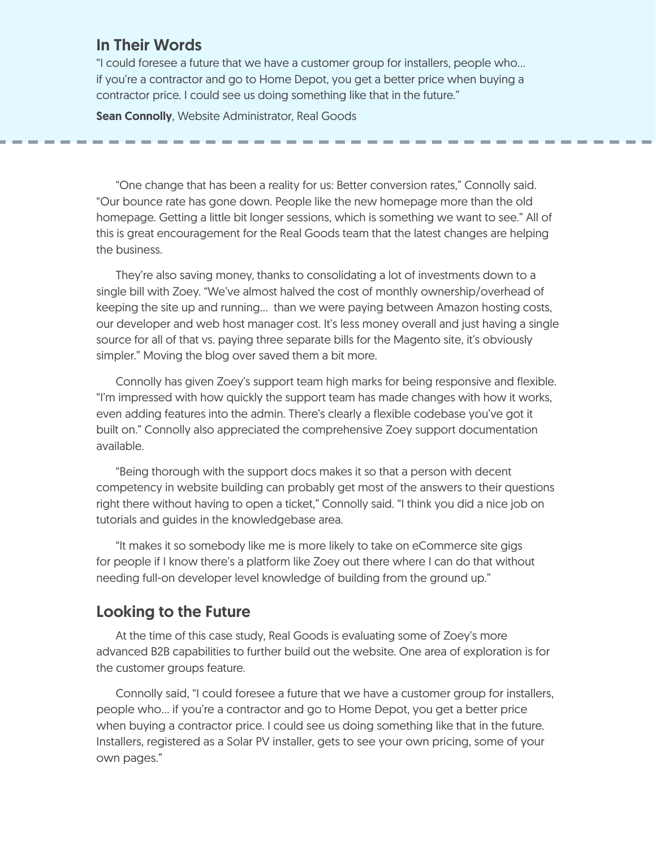#### In Their Words

"I could foresee a future that we have a customer group for installers, people who… if you're a contractor and go to Home Depot, you get a better price when buying a contractor price. I could see us doing something like that in the future."

**Sean Connolly, Website Administrator, Real Goods** 

"One change that has been a reality for us: Better conversion rates," Connolly said. "Our bounce rate has gone down. People like the new homepage more than the old homepage. Getting a little bit longer sessions, which is something we want to see." All of this is great encouragement for the Real Goods team that the latest changes are helping the business.

They're also saving money, thanks to consolidating a lot of investments down to a single bill with Zoey. "We've almost halved the cost of monthly ownership/overhead of keeping the site up and running... than we were paying between Amazon hosting costs, our developer and web host manager cost. It's less money overall and just having a single source for all of that vs. paying three separate bills for the Magento site, it's obviously simpler." Moving the blog over saved them a bit more.

Connolly has given Zoey's support team high marks for being responsive and flexible. "I'm impressed with how quickly the support team has made changes with how it works, even adding features into the admin. There's clearly a flexible codebase you've got it built on." Connolly also appreciated the comprehensive Zoey support documentation available.

"Being thorough with the support docs makes it so that a person with decent competency in website building can probably get most of the answers to their questions right there without having to open a ticket," Connolly said. "I think you did a nice job on tutorials and guides in the knowledgebase area.

"It makes it so somebody like me is more likely to take on eCommerce site gigs for people if I know there's a platform like Zoey out there where I can do that without needing full-on developer level knowledge of building from the ground up."

#### Looking to the Future

At the time of this case study, Real Goods is evaluating some of Zoey's more advanced B2B capabilities to further build out the website. One area of exploration is for the customer groups feature.

Connolly said, "I could foresee a future that we have a customer group for installers, people who… if you're a contractor and go to Home Depot, you get a better price when buying a contractor price. I could see us doing something like that in the future. Installers, registered as a Solar PV installer, gets to see your own pricing, some of your own pages."